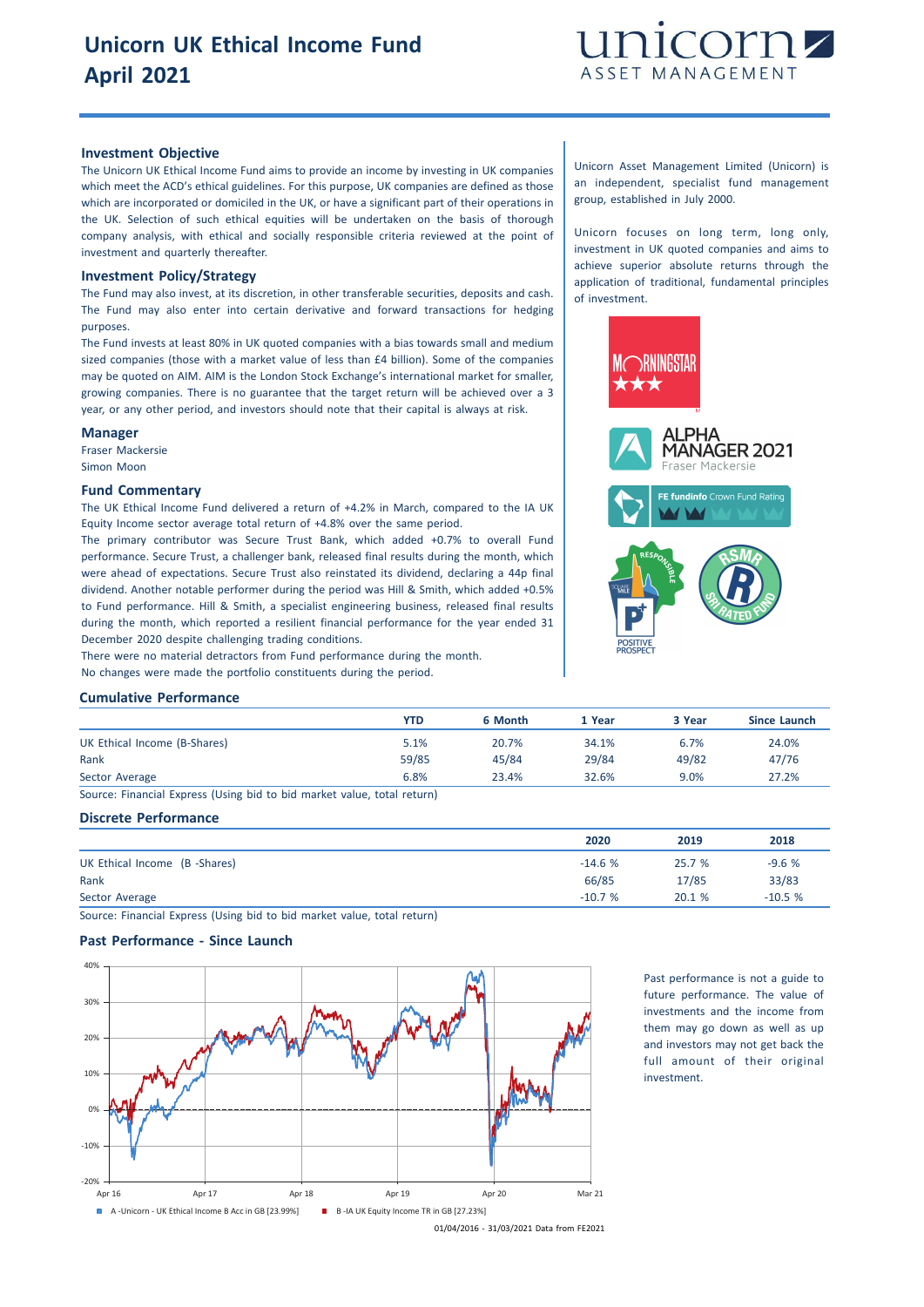

### **Investment Objective**

The Unicorn UK Ethical Income Fund aims to provide an income by investing in UK companies which meet the ACD's ethical guidelines. For this purpose, UK companies are defined as those which are incorporated or domiciled in the UK, or have a significant part of their operations in the UK. Selection of such ethical equities will be undertaken on the basis of thorough company analysis, with ethical and socially responsible criteria reviewed at the point of investment and quarterly thereafter.

#### **Investment Policy/Strategy**

The Fund may also invest, at its discretion, in other transferable securities, deposits and cash. The Fund may also enter into certain derivative and forward transactions for hedging purposes.

The Fund invests at least 80% in UK quoted companies with a bias towards small and medium sized companies (those with a market value of less than £4 billion). Some of the companies may be quoted on AIM. AIM is the London Stock Exchange's international market for smaller, growing companies. There is no guarantee that the target return will be achieved over a 3 year, or any other period, and investors should note that their capital is always at risk.

#### **Manager**

Fraser Mackersie Simon Moon

#### **Fund Commentary**

The UK Ethical Income Fund delivered a return of +4.2% in March, compared to the IA UK Equity Income sector average total return of +4.8% over the same period.

The primary contributor was Secure Trust Bank, which added +0.7% to overall Fund performance. Secure Trust, a challenger bank, released final results during the month, which were ahead of expectations. Secure Trust also reinstated its dividend, declaring a 44p final dividend. Another notable performer during the period was Hill & Smith, which added +0.5% to Fund performance. Hill & Smith, a specialist engineering business, released final results during the month, which reported a resilient financial performance for the year ended 31 December 2020 despite challenging trading conditions.

There were no material detractors from Fund performance during the month.

No changes were made the portfolio constituents during the period.

# **Cumulative Performance**

|                              | YTD   | 6 Month | 1 Year | 3 Year | Since Launch |
|------------------------------|-------|---------|--------|--------|--------------|
| UK Ethical Income (B-Shares) | 5.1%  | 20.7%   | 34.1%  | 6.7%   | 24.0%        |
| Rank                         | 59/85 | 45/84   | 29/84  | 49/82  | 47/76        |
| Sector Average               | 6.8%  | 23.4%   | 32.6%  | 9.0%   | 27.2%        |

Source: Financial Express (Using bid to bid market value, total return)

## **Discrete Performance**

|                               | 2020     | 2019  | 2018     |
|-------------------------------|----------|-------|----------|
| UK Ethical Income (B -Shares) | $-14.6%$ | 25.7% | $-9.6%$  |
| Rank                          | 66/85    | 17/85 | 33/83    |
| Sector Average                | $-10.7%$ | 20.1% | $-10.5%$ |

Source: Financial Express (Using bid to bid market value, total return)

# **Past Performance - Since Launch**



Past performance is not a guide to future performance. The value of investments and the income from them may go down as well as up and investors may not get back the full amount of their original investment.

Unicorn Asset Management Limited (Unicorn) is an independent, specialist fund management group, established in July 2000.

Unicorn focuses on long term, long only, investment in UK quoted companies and aims to achieve superior absolute returns through the application of traditional, fundamental principles of investment.



01/04/2016 - 31/03/2021 Data from FE2021